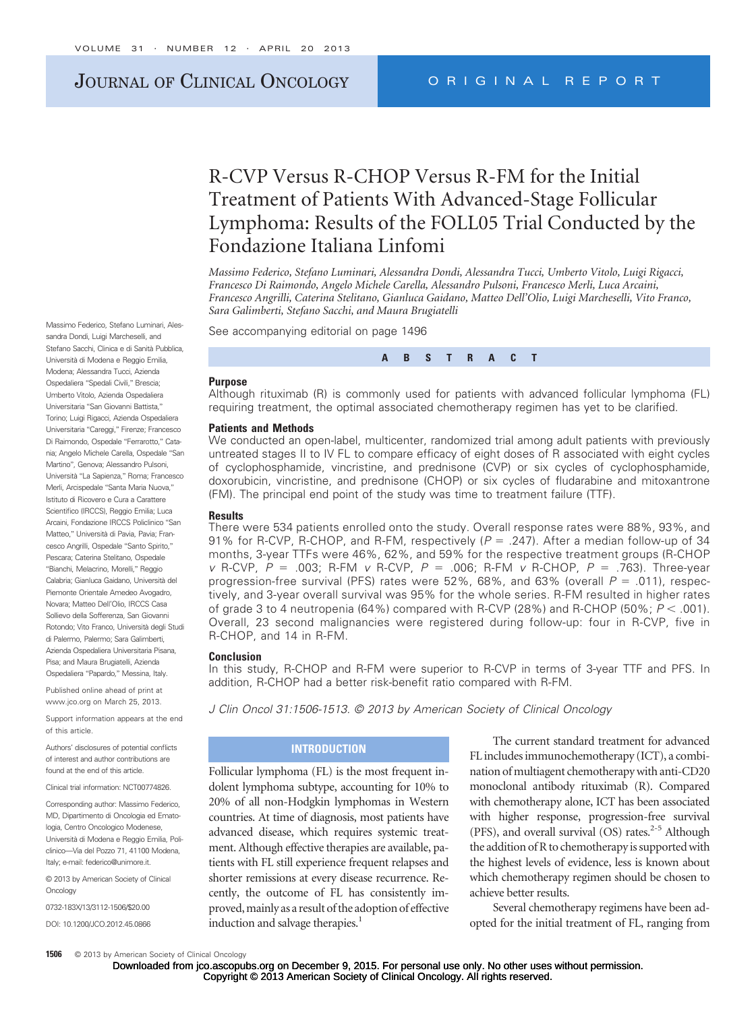## JOURNAL OF CLINICAL ONCOLOGY ORIGINAL REPORT

# R-CVP Versus R-CHOP Versus R-FM for the Initial Treatment of Patients With Advanced-Stage Follicular Lymphoma: Results of the FOLL05 Trial Conducted by the Fondazione Italiana Linfomi

*Massimo Federico, Stefano Luminari, Alessandra Dondi, Alessandra Tucci, Umberto Vitolo, Luigi Rigacci, Francesco Di Raimondo, Angelo Michele Carella, Alessandro Pulsoni, Francesco Merli, Luca Arcaini, Francesco Angrilli, Caterina Stelitano, Gianluca Gaidano, Matteo Dell'Olio, Luigi Marcheselli, Vito Franco, Sara Galimberti, Stefano Sacchi, and Maura Brugiatelli*

Massimo Federico, Stefano Luminari, Ales-<br>Capdra Dondi Luigi Marchaeolli and Massimo See accompanying editorial on page 1496

#### **Purpose**

Although rituximab (R) is commonly used for patients with advanced follicular lymphoma (FL) requiring treatment, the optimal associated chemotherapy regimen has yet to be clarified.

**ABSTRACT**

#### **Patients and Methods**

We conducted an open-label, multicenter, randomized trial among adult patients with previously untreated stages II to IV FL to compare efficacy of eight doses of R associated with eight cycles of cyclophosphamide, vincristine, and prednisone (CVP) or six cycles of cyclophosphamide, doxorubicin, vincristine, and prednisone (CHOP) or six cycles of fludarabine and mitoxantrone (FM). The principal end point of the study was time to treatment failure (TTF).

#### **Results**

There were 534 patients enrolled onto the study. Overall response rates were 88%, 93%, and 91% for R-CVP, R-CHOP, and R-FM, respectively (P = .247). After a median follow-up of 34 months, 3-year TTFs were 46%, 62%, and 59% for the respective treatment groups (R-CHOP *v* R-CVP, *P* = .003; R-FM *v* R-CVP, *P* = .006; R-FM *v* R-CHOP, *P* = .763). Three-year progression-free survival (PFS) rates were 52%, 68%, and 63% (overall *P* = .011), respectively, and 3-year overall survival was 95% for the whole series. R-FM resulted in higher rates of grade 3 to 4 neutropenia (64%) compared with R-CVP (28%) and R-CHOP (50%;  $P < .001$ ). Overall, 23 second malignancies were registered during follow-up: four in R-CVP, five in R-CHOP, and 14 in R-FM.

#### **Conclusion**

In this study, R-CHOP and R-FM were superior to R-CVP in terms of 3-year TTF and PFS. In addition, R-CHOP had a better risk-benefit ratio compared with R-FM.

*J Clin Oncol 31:1506-1513. © 2013 by American Society of Clinical Oncology*

#### **INTRODUCTION**

Follicular lymphoma (FL) is the most frequent indolent lymphoma subtype, accounting for 10% to 20% of all non-Hodgkin lymphomas in Western countries. At time of diagnosis, most patients have advanced disease, which requires systemic treatment. Although effective therapies are available, patients with FL still experience frequent relapses and shorter remissions at every disease recurrence. Recently, the outcome of FL has consistently improved, mainly as a result of the adoption of effective induction and salvage therapies. $<sup>1</sup>$ </sup>

The current standard treatment for advanced FL includes immunochemotherapy (ICT), a combination of multiagent chemotherapy with anti-CD20 monoclonal antibody rituximab (R). Compared with chemotherapy alone, ICT has been associated with higher response, progression-free survival (PFS), and overall survival  $OS$ ) rates.<sup>2-5</sup> Although the addition of R to chemotherapy is supported with the highest levels of evidence, less is known about which chemotherapy regimen should be chosen to achieve better results.

Several chemotherapy regimens have been adopted for the initial treatment of FL, ranging from

sandra Dondi, Luigi Marcheselli, and Stefano Sacchi, Clinica e di Sanita` Pubblica, Universita` di Modena e Reggio Emilia, Modena; Alessandra Tucci, Azienda Ospedaliera "Spedali Civili," Brescia; Umberto Vitolo, Azienda Ospedaliera Universitaria "San Giovanni Battista," Torino; Luigi Rigacci, Azienda Ospedaliera Universitaria "Careggi," Firenze; Francesco Di Raimondo, Ospedale "Ferrarotto," Catania; Angelo Michele Carella, Ospedale "San Martino", Genova; Alessandro Pulsoni, Universita` "La Sapienza," Roma; Francesco Merli, Arcispedale "Santa Maria Nuova," Istituto di Ricovero e Cura a Carattere Scientifico (IRCCS), Reggio Emilia; Luca Arcaini, Fondazione IRCCS Policlinico "San Matteo," Università di Pavia, Pavia; Francesco Angrilli, Ospedale "Santo Spirito," Pescara; Caterina Stelitano, Ospedale "Bianchi, Melacrino, Morelli," Reggio Calabria; Gianluca Gaidano, Universita` del Piemonte Orientale Amedeo Avogadro, Novara; Matteo Dell'Olio, IRCCS Casa Sollievo della Sofferenza, San Giovanni Rotondo; Vito Franco, Università degli Studi di Palermo, Palermo; Sara Galimberti, Azienda Ospedaliera Universitaria Pisana, Pisa; and Maura Brugiatelli, Azienda Ospedaliera "Papardo," Messina, Italy.

Published online ahead of print at www.jco.org on March 25, 2013.

Support information appears at the end of this article.

Authors' disclosures of potential conflicts of interest and author contributions are found at the end of this article.

Clinical trial information: NCT00774826.

Corresponding author: Massimo Federico, MD, Dipartimento di Oncologia ed Ematologia, Centro Oncologico Modenese, Universita` di Modena e Reggio Emilia, Policlinico—Via del Pozzo 71, 41100 Modena, Italy; e-mail: federico@unimore.it.

© 2013 by American Society of Clinical **Oncology** 

**1506** © 2013 by American Society of Clinical Oncology

0732-183X/13/3112-1506/\$20.00

DOI: 10.1200/JCO.2012.45.0866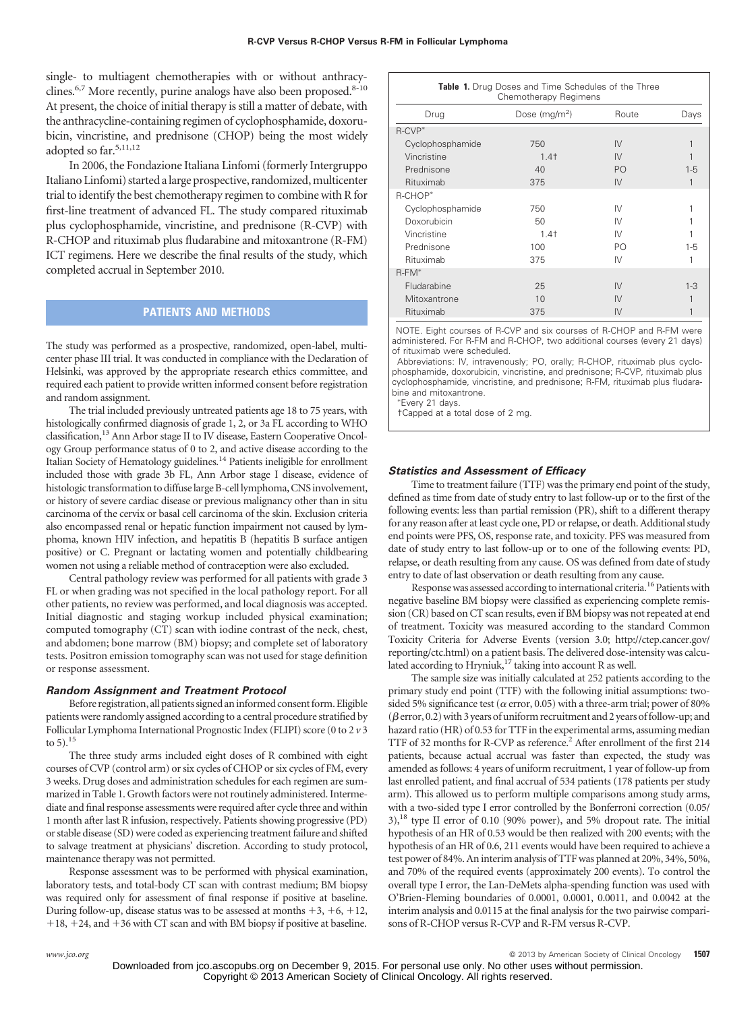single- to multiagent chemotherapies with or without anthracyclines.<sup>6,7</sup> More recently, purine analogs have also been proposed.<sup>8-10</sup> At present, the choice of initial therapy is still a matter of debate, with the anthracycline-containing regimen of cyclophosphamide, doxorubicin, vincristine, and prednisone (CHOP) being the most widely adopted so far.<sup>5,11,12</sup>

In 2006, the Fondazione Italiana Linfomi (formerly Intergruppo Italiano Linfomi) started a large prospective, randomized, multicenter trial to identify the best chemotherapy regimen to combine with R for first-line treatment of advanced FL. The study compared rituximab plus cyclophosphamide, vincristine, and prednisone (R-CVP) with R-CHOP and rituximab plus fludarabine and mitoxantrone (R-FM) ICT regimens. Here we describe the final results of the study, which completed accrual in September 2010.

## **PATIENTS AND METHODS**

The study was performed as a prospective, randomized, open-label, multicenter phase III trial. It was conducted in compliance with the Declaration of Helsinki, was approved by the appropriate research ethics committee, and required each patient to provide written informed consent before registration and random assignment.

The trial included previously untreated patients age 18 to 75 years, with histologically confirmed diagnosis of grade 1, 2, or 3a FL according to WHO classification,<sup>13</sup> Ann Arbor stage II to IV disease, Eastern Cooperative Oncology Group performance status of 0 to 2, and active disease according to the Italian Society of Hematology guidelines.<sup>14</sup> Patients ineligible for enrollment included those with grade 3b FL, Ann Arbor stage I disease, evidence of histologic transformation to diffuse large B-cell lymphoma, CNS involvement, or history of severe cardiac disease or previous malignancy other than in situ carcinoma of the cervix or basal cell carcinoma of the skin. Exclusion criteria also encompassed renal or hepatic function impairment not caused by lymphoma, known HIV infection, and hepatitis B (hepatitis B surface antigen positive) or C. Pregnant or lactating women and potentially childbearing women not using a reliable method of contraception were also excluded.

Central pathology review was performed for all patients with grade 3 FL or when grading was not specified in the local pathology report. For all other patients, no review was performed, and local diagnosis was accepted. Initial diagnostic and staging workup included physical examination; computed tomography (CT) scan with iodine contrast of the neck, chest, and abdomen; bone marrow (BM) biopsy; and complete set of laboratory tests. Positron emission tomography scan was not used for stage definition or response assessment.

#### *Random Assignment and Treatment Protocol*

Before registration, all patients signed an informed consent form. Eligible patients were randomly assigned according to a central procedure stratified by Follicular Lymphoma International Prognostic Index (FLIPI) score (0 to 2 *v* 3 to 5).<sup>15</sup>

The three study arms included eight doses of R combined with eight courses of CVP (control arm) or six cycles of CHOP or six cycles of FM, every 3 weeks. Drug doses and administration schedules for each regimen are summarized in Table 1. Growth factors were not routinely administered. Intermediate and final response assessments were required after cycle three and within 1 month after last R infusion, respectively. Patients showing progressive (PD) or stable disease (SD) were coded as experiencing treatment failure and shifted to salvage treatment at physicians' discretion. According to study protocol, maintenance therapy was not permitted.

Response assessment was to be performed with physical examination, laboratory tests, and total-body CT scan with contrast medium; BM biopsy was required only for assessment of final response if positive at baseline. During follow-up, disease status was to be assessed at months  $+3$ ,  $+6$ ,  $+12$ ,  $+18$ ,  $+24$ , and  $+36$  with CT scan and with BM biopsy if positive at baseline.

|                       | Table 1. Drug Doses and Time Schedules of the Three |  |  |  |  |  |
|-----------------------|-----------------------------------------------------|--|--|--|--|--|
| Chemotherapy Regimens |                                                     |  |  |  |  |  |

| Drug               | Dose $(mq/m^2)$  | Route          | Days    |
|--------------------|------------------|----------------|---------|
| R-CVP <sup>*</sup> |                  |                |         |
| Cyclophosphamide   | 750              | IV             | 1       |
| Vincristine        | $1.4+$           | IV             | 1       |
| Prednisone         | 40               | P <sub>O</sub> | $1 - 5$ |
| Rituximab          | 375              | IV             | 1       |
| R-CHOP*            |                  |                |         |
| Cyclophosphamide   | 750              | IV             | 1       |
| Doxorubicin        | 50               | IV             |         |
| Vincristine        | 1.4 <sup>†</sup> | IV             | 1       |
| Prednisone         | 100              | PO.            | $1-5$   |
| Rituximab          | 375              | IV             | 1       |
| $R$ -FM $*$        |                  |                |         |
| Fludarabine        | 25               | IV             | $1 - 3$ |
| Mitoxantrone       | 10               | IV             | 1       |
| Rituximab          | 375              | IV             | 1       |

NOTE. Eight courses of R-CVP and six courses of R-CHOP and R-FM were administered. For R-FM and R-CHOP, two additional courses (every 21 days) of rituximab were scheduled.

Abbreviations: IV, intravenously; PO, orally; R-CHOP, rituximab plus cyclophosphamide, doxorubicin, vincristine, and prednisone; R-CVP, rituximab plus cyclophosphamide, vincristine, and prednisone; R-FM, rituximab plus fludarabine and mitoxantrone. - Every 21 days.

†Capped at a total dose of 2 mg.

### *Statistics and Assessment of Efficacy*

Time to treatment failure (TTF) was the primary end point of the study, defined as time from date of study entry to last follow-up or to the first of the following events: less than partial remission (PR), shift to a different therapy for any reason after at least cycle one, PD or relapse, or death. Additional study end points were PFS, OS, response rate, and toxicity. PFS was measured from date of study entry to last follow-up or to one of the following events: PD, relapse, or death resulting from any cause. OS was defined from date of study entry to date of last observation or death resulting from any cause.

Response was assessed according to international criteria.<sup>16</sup> Patients with negative baseline BM biopsy were classified as experiencing complete remission (CR) based on CT scan results, even if BM biopsy was not repeated at end of treatment. Toxicity was measured according to the standard Common Toxicity Criteria for Adverse Events (version 3.0; [http://ctep.cancer.gov/](http://ctep.cancer.gov/reporting/ctc.html) [reporting/ctc.html\)](http://ctep.cancer.gov/reporting/ctc.html) on a patient basis. The delivered dose-intensity was calculated according to Hryniuk,<sup>17</sup> taking into account R as well.

The sample size was initially calculated at 252 patients according to the primary study end point (TTF) with the following initial assumptions: twosided 5% significance test ( $\alpha$  error, 0.05) with a three-arm trial; power of 80% ( $\beta$  error, 0.2) with 3 years of uniform recruitment and 2 years of follow-up; and hazard ratio (HR) of 0.53 for TTF in the experimental arms, assuming median TTF of 32 months for R-CVP as reference.<sup>2</sup> After enrollment of the first 214 patients, because actual accrual was faster than expected, the study was amended as follows: 4 years of uniform recruitment, 1 year of follow-up from last enrolled patient, and final accrual of 534 patients (178 patients per study arm). This allowed us to perform multiple comparisons among study arms, with a two-sided type I error controlled by the Bonferroni correction (0.05/ 3),18 type II error of 0.10 (90% power), and 5% dropout rate. The initial hypothesis of an HR of 0.53 would be then realized with 200 events; with the hypothesis of an HR of 0.6, 211 events would have been required to achieve a test power of 84%. An interim analysis of TTF was planned at 20%, 34%, 50%, and 70% of the required events (approximately 200 events). To control the overall type I error, the Lan-DeMets alpha-spending function was used with O'Brien-Fleming boundaries of 0.0001, 0.0001, 0.0011, and 0.0042 at the interim analysis and 0.0115 at the final analysis for the two pairwise comparisons of R-CHOP versus R-CVP and R-FM versus R-CVP.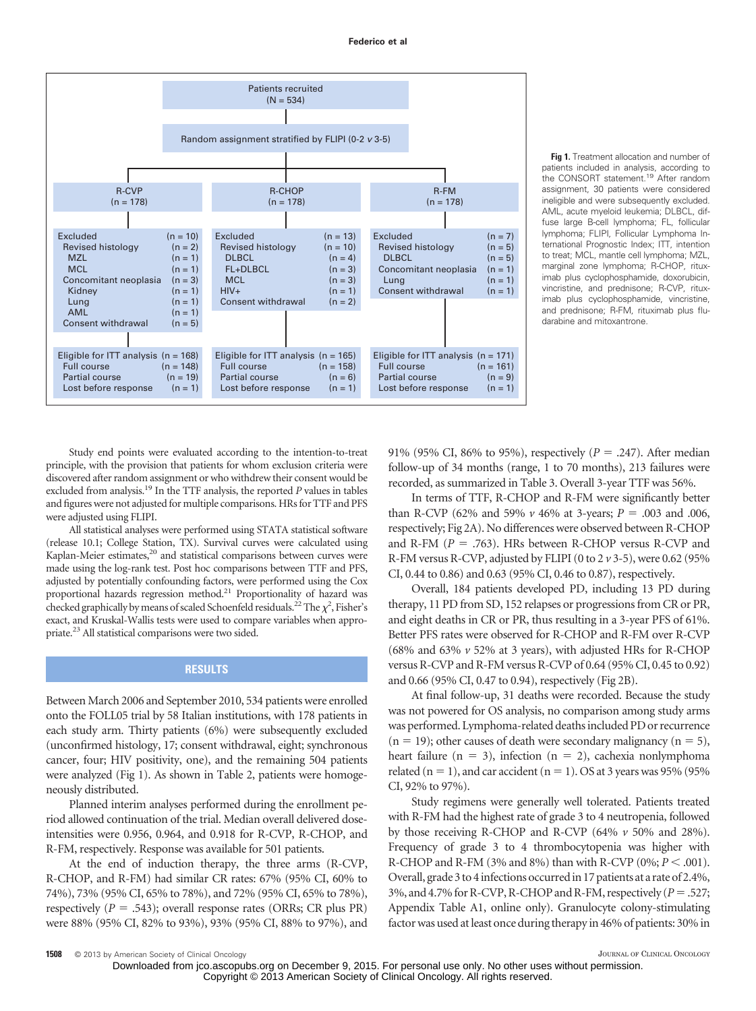

**Fig 1.** Treatment allocation and number of patients included in analysis, according to the CONSORT statement.<sup>19</sup> After random assignment, 30 patients were considered ineligible and were subsequently excluded. AML, acute myeloid leukemia; DLBCL, diffuse large B-cell lymphoma; FL, follicular lymphoma; FLIPI, Follicular Lymphoma International Prognostic Index; ITT, intention to treat; MCL, mantle cell lymphoma; MZL, marginal zone lymphoma; R-CHOP, rituximab plus cyclophosphamide, doxorubicin, vincristine, and prednisone; R-CVP, rituximab plus cyclophosphamide, vincristine, and prednisone; R-FM, rituximab plus fludarabine and mitoxantrone.

Study end points were evaluated according to the intention-to-treat principle, with the provision that patients for whom exclusion criteria were discovered after random assignment or who withdrew their consent would be excluded from analysis.19 In the TTF analysis, the reported *P* values in tables and figures were not adjusted for multiple comparisons. HRs for TTF and PFS were adjusted using FLIPI.

All statistical analyses were performed using STATA statistical software (release 10.1; College Station, TX). Survival curves were calculated using Kaplan-Meier estimates,<sup>20</sup> and statistical comparisons between curves were made using the log-rank test. Post hoc comparisons between TTF and PFS, adjusted by potentially confounding factors, were performed using the Cox proportional hazards regression method.<sup>21</sup> Proportionality of hazard was checked graphically by means of scaled Schoenfeld residuals.<sup>22</sup> The  $\chi^2$ , Fisher's exact, and Kruskal-Wallis tests were used to compare variables when appropriate.<sup>23</sup> All statistical comparisons were two sided.

## **RESULTS**

Between March 2006 and September 2010, 534 patients were enrolled onto the FOLL05 trial by 58 Italian institutions, with 178 patients in each study arm. Thirty patients (6%) were subsequently excluded (unconfirmed histology, 17; consent withdrawal, eight; synchronous cancer, four; HIV positivity, one), and the remaining 504 patients were analyzed (Fig 1). As shown in Table 2, patients were homogeneously distributed.

Planned interim analyses performed during the enrollment period allowed continuation of the trial. Median overall delivered doseintensities were 0.956, 0.964, and 0.918 for R-CVP, R-CHOP, and R-FM, respectively. Response was available for 501 patients.

At the end of induction therapy, the three arms (R-CVP, R-CHOP, and R-FM) had similar CR rates: 67% (95% CI, 60% to 74%), 73% (95% CI, 65% to 78%), and 72% (95% CI, 65% to 78%), respectively  $(P = .543)$ ; overall response rates (ORRs; CR plus PR) were 88% (95% CI, 82% to 93%), 93% (95% CI, 88% to 97%), and

91% (95% CI, 86% to 95%), respectively  $(P = .247)$ . After median follow-up of 34 months (range, 1 to 70 months), 213 failures were recorded, as summarized in Table 3. Overall 3-year TTF was 56%.

In terms of TTF, R-CHOP and R-FM were significantly better than R-CVP (62% and 59%  $\nu$  46% at 3-years;  $P = 0.003$  and 0.06, respectively; Fig 2A). No differences were observed between R-CHOP and R-FM  $(P = .763)$ . HRs between R-CHOP versus R-CVP and R-FM versus R-CVP, adjusted by FLIPI (0 to 2 *v* 3-5), were 0.62 (95% CI, 0.44 to 0.86) and 0.63 (95% CI, 0.46 to 0.87), respectively.

Overall, 184 patients developed PD, including 13 PD during therapy, 11 PD from SD, 152 relapses or progressions from CR or PR, and eight deaths in CR or PR, thus resulting in a 3-year PFS of 61%. Better PFS rates were observed for R-CHOP and R-FM over R-CVP (68% and 63% *v* 52% at 3 years), with adjusted HRs for R-CHOP versus R-CVP and R-FM versus R-CVP of 0.64 (95% CI, 0.45 to 0.92) and 0.66 (95% CI, 0.47 to 0.94), respectively (Fig 2B).

At final follow-up, 31 deaths were recorded. Because the study was not powered for OS analysis, no comparison among study arms was performed. Lymphoma-related deaths included PD or recurrence  $(n = 19)$ ; other causes of death were secondary malignancy  $(n = 5)$ , heart failure  $(n = 3)$ , infection  $(n = 2)$ , cachexia nonlymphoma related ( $n = 1$ ), and car accident ( $n = 1$ ). OS at 3 years was 95% (95%) CI, 92% to 97%).

Study regimens were generally well tolerated. Patients treated with R-FM had the highest rate of grade 3 to 4 neutropenia, followed by those receiving R-CHOP and R-CVP (64% *v* 50% and 28%). Frequency of grade 3 to 4 thrombocytopenia was higher with R-CHOP and R-FM (3% and 8%) than with R-CVP (0%;  $P < .001$ ). Overall, grade 3 to 4 infections occurred in 17 patients at a rate of 2.4%, 3%, and 4.7% for R-CVP, R-CHOP and R-FM, respectively  $(P = .527;$ Appendix Table A1, online only). Granulocyte colony-stimulating factor was used at least once during therapy in 46% of patients: 30% in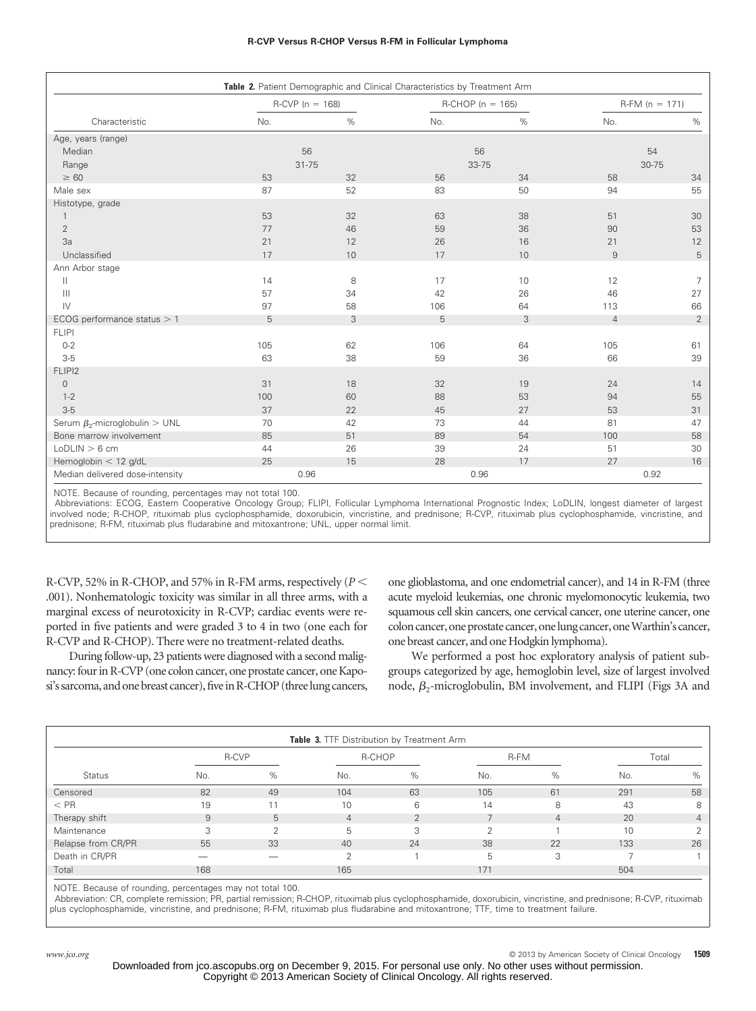#### **R-CVP Versus R-CHOP Versus R-FM in Follicular Lymphoma**

| Table 2. Patient Demographic and Clinical Characteristics by Treatment Arm |                   |                    |                         |       |                   |                |  |
|----------------------------------------------------------------------------|-------------------|--------------------|-------------------------|-------|-------------------|----------------|--|
|                                                                            | $R-CVP (n = 168)$ |                    | $R$ -CHOP ( $n = 165$ ) |       | $R$ -FM (n = 171) |                |  |
| Characteristic                                                             | No.               | $\%$               | No.                     | $\%$  | No.               | $\%$           |  |
| Age, years (range)                                                         |                   |                    |                         |       |                   |                |  |
| Median                                                                     | 56                |                    | 56                      |       | 54                |                |  |
| Range                                                                      |                   | 33-75<br>$31 - 75$ |                         | 30-75 |                   |                |  |
| $\geq 60$                                                                  | 53                | 32                 | 56                      | 34    | 58                | 34             |  |
| Male sex                                                                   | 87                | 52                 | 83                      | 50    | 94                | 55             |  |
| Histotype, grade                                                           |                   |                    |                         |       |                   |                |  |
| 1                                                                          | 53                | 32                 | 63                      | 38    | 51                | 30             |  |
| $\overline{2}$                                                             | 77                | 46                 | 59                      | 36    | 90                | 53             |  |
| 3a                                                                         | 21                | 12                 | 26                      | 16    | 21                | 12             |  |
| Unclassified                                                               | 17                | 10                 | 17                      | 10    | $9$               | 5              |  |
| Ann Arbor stage                                                            |                   |                    |                         |       |                   |                |  |
| Ш                                                                          | 14                | 8                  | 17                      | 10    | 12                | $\overline{7}$ |  |
|                                                                            | 57                | 34                 | 42                      | 26    | 46                | 27             |  |
| $\mathsf{IV}$                                                              | 97                | 58                 | 106                     | 64    | 113               | 66             |  |
| ECOG performance status > 1                                                | 5                 | 3                  | 5                       | 3     | $\overline{4}$    | 2              |  |
| <b>FLIPI</b>                                                               |                   |                    |                         |       |                   |                |  |
| $0 - 2$                                                                    | 105               | 62                 | 106                     | 64    | 105               | 61             |  |
| $3-5$                                                                      | 63                | 38                 | 59                      | 36    | 66                | 39             |  |
| FLIPI2                                                                     |                   |                    |                         |       |                   |                |  |
| $\overline{0}$                                                             | 31                | 18                 | 32                      | 19    | 24                | 14             |  |
| $1 - 2$                                                                    | 100               | 60                 | 88                      | 53    | 94                | 55             |  |
| $3-5$                                                                      | 37                | 22                 | 45                      | 27    | 53                | 31             |  |
| Serum $\beta_2$ -microglobulin > UNL                                       | 70                | 42                 | 73                      | 44    | 81                | 47             |  |
| Bone marrow involvement                                                    | 85                | 51                 | 89                      | 54    | 100               | 58             |  |
| $LODLIN > 6$ cm                                                            | 44                | 26                 | 39                      | 24    | 51                | 30             |  |
| Hemoglobin $<$ 12 g/dL                                                     | 25                | 15                 | 28                      | 17    | 27                | 16             |  |
| Median delivered dose-intensity                                            |                   | 0.96               | 0.96                    |       | 0.92              |                |  |

NOTE. Because of rounding, percentages may not total 100.

Abbreviations: ECOG, Eastern Cooperative Oncology Group; FLIPI, Follicular Lymphoma International Prognostic Index; LoDLIN, longest diameter of largest involved node; R-CHOP, rituximab plus cyclophosphamide, doxorubicin, vincristine, and prednisone; R-CVP, rituximab plus cyclophosphamide, vincristine, and prednisone; R-FM, rituximab plus fludarabine and mitoxantrone; UNL, upper normal limit.

R-CVP, 52% in R-CHOP, and 57% in R-FM arms, respectively (*P* .001). Nonhematologic toxicity was similar in all three arms, with a marginal excess of neurotoxicity in R-CVP; cardiac events were reported in five patients and were graded 3 to 4 in two (one each for R-CVP and R-CHOP). There were no treatment-related deaths.

During follow-up, 23 patients were diagnosed with a second malignancy: four in R-CVP (one colon cancer, one prostate cancer, one Kaposi's sarcoma, and one breast cancer), five in R-CHOP (three lung cancers, one glioblastoma, and one endometrial cancer), and 14 in R-FM (three acute myeloid leukemias, one chronic myelomonocytic leukemia, two squamous cell skin cancers, one cervical cancer, one uterine cancer, one colon cancer, one prostate cancer, one lung cancer, one Warthin's cancer, one breast cancer, and one Hodgkin lymphoma).

We performed a post hoc exploratory analysis of patient subgroups categorized by age, hemoglobin level, size of largest involved node,  $\beta_2$ -microglobulin, BM involvement, and FLIPI (Figs 3A and

|                    |       |                                 | <b>Table 3. TTF Distribution by Treatment Arm</b><br>R-CHOP |               | R-FM          |      | Total |                |
|--------------------|-------|---------------------------------|-------------------------------------------------------------|---------------|---------------|------|-------|----------------|
|                    | R-CVP |                                 |                                                             |               |               |      |       |                |
| <b>Status</b>      | No.   | %                               | No.                                                         | $\%$          | No.           | $\%$ | No.   | $\%$           |
| Censored           | 82    | 49                              | 104                                                         | 63            | 105           | 61   | 291   | 58             |
| $<$ PR             | 19    | 11                              | 10                                                          | 6             | 14            | 8    | 43    | 8              |
| Therapy shift      | 9     | 5                               | $\overline{4}$                                              | $\mathcal{D}$ |               | 4    | 20    | $\overline{4}$ |
| Maintenance        | 3     | <sup><math>\supset</math></sup> | 5                                                           | 3             | $\mathcal{D}$ |      | 10    | $\mathfrak{D}$ |
| Relapse from CR/PR | 55    | 33                              | 40                                                          | 24            | 38            | 22   | 133   | 26             |
| Death in CR/PR     |       |                                 | $\mathfrak{D}$                                              |               | 5             | 3    | ⇁     |                |
| Total              | 168   |                                 | 165                                                         |               | 171           |      | 504   |                |

NOTE. Because of rounding, percentages may not total 100.

Abbreviation: CR, complete remission; PR, partial remission; R-CHOP, rituximab plus cyclophosphamide, doxorubicin, vincristine, and prednisone; R-CVP, rituximab plus cyclophosphamide, vincristine, and prednisone; R-FM, rituximab plus fludarabine and mitoxantrone; TTF, time to treatment failure.

*www.jco.org* © 2013 by American Society of Clinical Oncology **1509**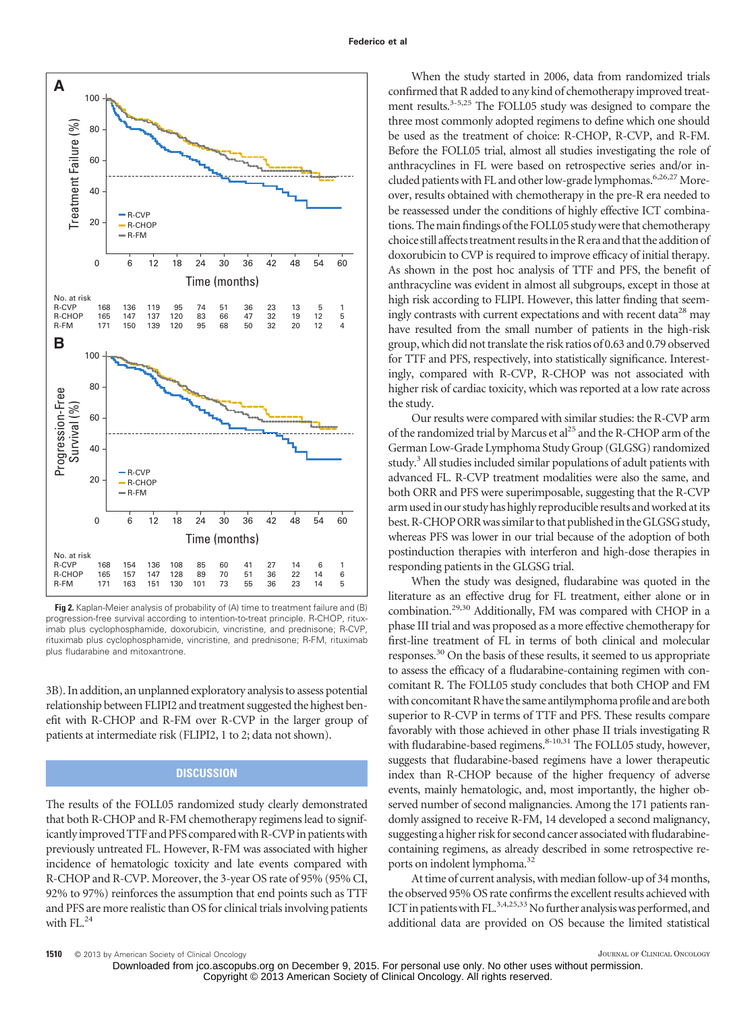

**Fig 2.** Kaplan-Meier analysis of probability of (A) time to treatment failure and (B) progression-free survival according to intention-to-treat principle. R-CHOP, rituximab plus cyclophosphamide, doxorubicin, vincristine, and prednisone; R-CVP, rituximab plus cyclophosphamide, vincristine, and prednisone; R-FM, rituximab plus fludarabine and mitoxantrone.

3B). In addition, an unplanned exploratory analysis to assess potential relationship between FLIPI2 and treatment suggested the highest benefit with R-CHOP and R-FM over R-CVP in the larger group of patients at intermediate risk (FLIPI2, 1 to 2; data not shown).

## **DISCUSSION**

The results of the FOLL05 randomized study clearly demonstrated that both R-CHOP and R-FM chemotherapy regimens lead to significantly improved TTF and PFS compared with R-CVP in patients with previously untreated FL. However, R-FM was associated with higher incidence of hematologic toxicity and late events compared with R-CHOP and R-CVP. Moreover, the 3-year OS rate of 95% (95% CI, 92% to 97%) reinforces the assumption that end points such as TTF and PFS are more realistic than OS for clinical trials involving patients with  $FL<sub>24</sub>$ 

When the study started in 2006, data from randomized trials confirmed that R added to any kind of chemotherapy improved treatment results.3-5,25 The FOLL05 study was designed to compare the three most commonly adopted regimens to define which one should be used as the treatment of choice: R-CHOP, R-CVP, and R-FM. Before the FOLL05 trial, almost all studies investigating the role of anthracyclines in FL were based on retrospective series and/or included patients with FL and other low-grade lymphomas.<sup>6,26,27</sup> Moreover, results obtained with chemotherapy in the pre-R era needed to be reassessed under the conditions of highly effective ICT combinations. The main findings of the FOLL05 study were that chemotherapy choice still affects treatment results in the R era and that the addition of doxorubicin to CVP is required to improve efficacy of initial therapy. As shown in the post hoc analysis of TTF and PFS, the benefit of anthracycline was evident in almost all subgroups, except in those at high risk according to FLIPI. However, this latter finding that seemingly contrasts with current expectations and with recent data<sup>28</sup> may have resulted from the small number of patients in the high-risk group, which did not translate the risk ratios of 0.63 and 0.79 observed for TTF and PFS, respectively, into statistically significance. Interestingly, compared with R-CVP, R-CHOP was not associated with higher risk of cardiac toxicity, which was reported at a low rate across the study.

Our results were compared with similar studies: the R-CVP arm of the randomized trial by Marcus et  $al^{25}$  and the R-CHOP arm of the German Low-Grade Lymphoma Study Group (GLGSG) randomized study.<sup>3</sup> All studies included similar populations of adult patients with advanced FL. R-CVP treatment modalities were also the same, and both ORR and PFS were superimposable, suggesting that the R-CVP arm used in our study has highly reproducible results and worked at its best. R-CHOP ORR was similar to that published in the GLGSG study, whereas PFS was lower in our trial because of the adoption of both postinduction therapies with interferon and high-dose therapies in responding patients in the GLGSG trial.

When the study was designed, fludarabine was quoted in the literature as an effective drug for FL treatment, either alone or in combination.29,30 Additionally, FM was compared with CHOP in a phase III trial and was proposed as a more effective chemotherapy for first-line treatment of FL in terms of both clinical and molecular responses.30 On the basis of these results, it seemed to us appropriate to assess the efficacy of a fludarabine-containing regimen with concomitant R. The FOLL05 study concludes that both CHOP and FM with concomitant R have the same antilymphoma profile and are both superior to R-CVP in terms of TTF and PFS. These results compare favorably with those achieved in other phase II trials investigating R with fludarabine-based regimens.<sup>8-10,31</sup> The FOLL05 study, however, suggests that fludarabine-based regimens have a lower therapeutic index than R-CHOP because of the higher frequency of adverse events, mainly hematologic, and, most importantly, the higher observed number of second malignancies. Among the 171 patients randomly assigned to receive R-FM, 14 developed a second malignancy, suggesting a higher risk for second cancer associated with fludarabinecontaining regimens, as already described in some retrospective reports on indolent lymphoma.<sup>32</sup>

At time of current analysis, with median follow-up of 34 months, the observed 95% OS rate confirms the excellent results achieved with ICT in patients with FL.  $^{3,4,25,33}$  No further analysis was performed, and additional data are provided on OS because the limited statistical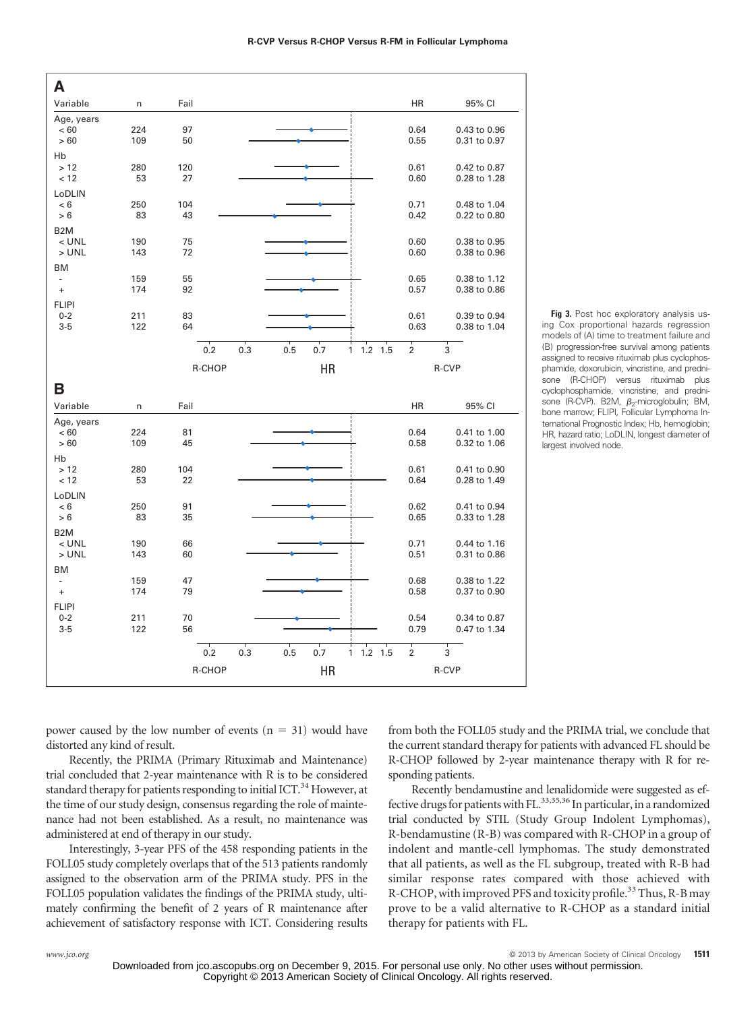

**Fig 3.** Post hoc exploratory analysis using Cox proportional hazards regression models of (A) time to treatment failure and (B) progression-free survival among patients assigned to receive rituximab plus cyclophosphamide, doxorubicin, vincristine, and prednisone (R-CHOP) versus rituximab plus cyclophosphamide, vincristine, and prednisone (R-CVP). B2M,  $\beta_2$ -microglobulin; BM, bone marrow; FLIPI, Follicular Lymphoma International Prognostic Index; Hb, hemoglobin; HR, hazard ratio; LoDLIN, longest diameter of largest involved node.

power caused by the low number of events  $(n = 31)$  would have distorted any kind of result.

Recently, the PRIMA (Primary Rituximab and Maintenance) trial concluded that 2-year maintenance with R is to be considered standard therapy for patients responding to initial ICT.<sup>34</sup> However, at the time of our study design, consensus regarding the role of maintenance had not been established. As a result, no maintenance was administered at end of therapy in our study.

Interestingly, 3-year PFS of the 458 responding patients in the FOLL05 study completely overlaps that of the 513 patients randomly assigned to the observation arm of the PRIMA study. PFS in the FOLL05 population validates the findings of the PRIMA study, ultimately confirming the benefit of 2 years of R maintenance after achievement of satisfactory response with ICT. Considering results from both the FOLL05 study and the PRIMA trial, we conclude that the current standard therapy for patients with advanced FL should be R-CHOP followed by 2-year maintenance therapy with R for responding patients.

Recently bendamustine and lenalidomide were suggested as effective drugs for patients with FL.33,35,36 In particular, in a randomized trial conducted by STIL (Study Group Indolent Lymphomas), R-bendamustine (R-B) was compared with R-CHOP in a group of indolent and mantle-cell lymphomas. The study demonstrated that all patients, as well as the FL subgroup, treated with R-B had similar response rates compared with those achieved with R-CHOP, with improved PFS and toxicity profile.<sup>33</sup> Thus, R-B may prove to be a valid alternative to R-CHOP as a standard initial therapy for patients with FL.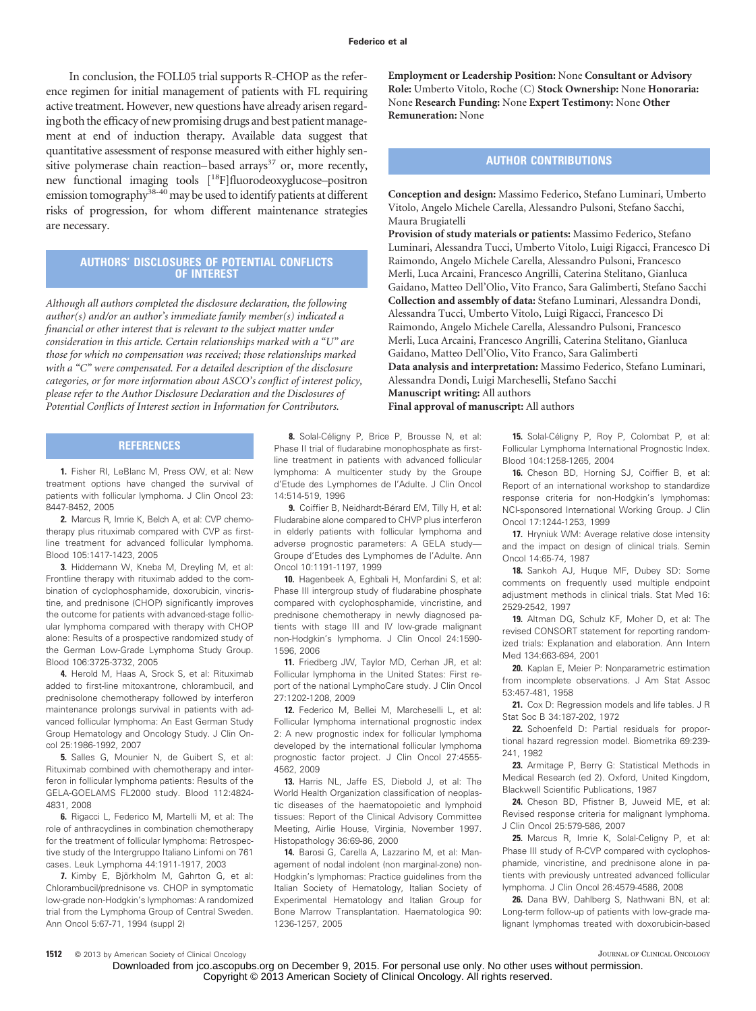In conclusion, the FOLL05 trial supports R-CHOP as the reference regimen for initial management of patients with FL requiring active treatment. However, new questions have already arisen regarding both the efficacy of new promising drugs and best patient management at end of induction therapy. Available data suggest that quantitative assessment of response measured with either highly sensitive polymerase chain reaction–based arrays $37$  or, more recently, new functional imaging tools [18F]fluorodeoxyglucose–positron emission tomography<sup>38-40</sup> may be used to identify patients at different risks of progression, for whom different maintenance strategies are necessary.

## **AUTHORS' DISCLOSURES OF POTENTIAL CONFLICTS OF INTEREST**

*Although all authors completed the disclosure declaration, the following author(s) and/or an author's immediate family member(s) indicated a financial or other interest that is relevant to the subject matter under consideration in this article. Certain relationships marked with a "U" are those for which no compensation was received; those relationships marked with a "C" were compensated. For a detailed description of the disclosure categories, or for more information about ASCO's conflict of interest policy, please refer to the Author Disclosure Declaration and the Disclosures of Potential Conflicts of Interest section in Information for Contributors.*

#### **REFERENCES**

**1.** Fisher RI, LeBlanc M, Press OW, et al: New treatment options have changed the survival of patients with follicular lymphoma. J Clin Oncol 23: 8447-8452, 2005

**2.** Marcus R, Imrie K, Belch A, et al: CVP chemotherapy plus rituximab compared with CVP as firstline treatment for advanced follicular lymphoma. Blood 105:1417-1423, 2005

**3.** Hiddemann W, Kneba M, Dreyling M, et al: Frontline therapy with rituximab added to the combination of cyclophosphamide, doxorubicin, vincristine, and prednisone (CHOP) significantly improves the outcome for patients with advanced-stage follicular lymphoma compared with therapy with CHOP alone: Results of a prospective randomized study of the German Low-Grade Lymphoma Study Group. Blood 106:3725-3732, 2005

**4.** Herold M, Haas A, Srock S, et al: Rituximab added to first-line mitoxantrone, chlorambucil, and prednisolone chemotherapy followed by interferon maintenance prolongs survival in patients with advanced follicular lymphoma: An East German Study Group Hematology and Oncology Study. J Clin Oncol 25:1986-1992, 2007

**5.** Salles G, Mounier N, de Guibert S, et al: Rituximab combined with chemotherapy and interferon in follicular lymphoma patients: Results of the GELA-GOELAMS FL2000 study. Blood 112:4824- 4831, 2008

**6.** Rigacci L, Federico M, Martelli M, et al: The role of anthracyclines in combination chemotherapy for the treatment of follicular lymphoma: Retrospective study of the Intergruppo Italiano Linfomi on 761 cases. Leuk Lymphoma 44:1911-1917, 2003

**7.** Kimby E, Björkholm M, Gahrton G, et al: Chlorambucil/prednisone vs. CHOP in symptomatic low-grade non-Hodgkin's lymphomas: A randomized trial from the Lymphoma Group of Central Sweden. Ann Oncol 5:67-71, 1994 (suppl 2)

**Employment or Leadership Position:** None **Consultant or Advisory Role:** Umberto Vitolo, Roche (C) **Stock Ownership:** None **Honoraria:** None **Research Funding:** None **Expert Testimony:** None **Other Remuneration:** None

## **AUTHOR CONTRIBUTIONS**

**Conception and design:** Massimo Federico, Stefano Luminari, Umberto Vitolo, Angelo Michele Carella, Alessandro Pulsoni, Stefano Sacchi, Maura Brugiatelli

**Provision of study materials or patients:** Massimo Federico, Stefano Luminari, Alessandra Tucci, Umberto Vitolo, Luigi Rigacci, Francesco Di Raimondo, Angelo Michele Carella, Alessandro Pulsoni, Francesco Merli, Luca Arcaini, Francesco Angrilli, Caterina Stelitano, Gianluca Gaidano, Matteo Dell'Olio, Vito Franco, Sara Galimberti, Stefano Sacchi **Collection and assembly of data:** Stefano Luminari, Alessandra Dondi, Alessandra Tucci, Umberto Vitolo, Luigi Rigacci, Francesco Di Raimondo, Angelo Michele Carella, Alessandro Pulsoni, Francesco Merli, Luca Arcaini, Francesco Angrilli, Caterina Stelitano, Gianluca Gaidano, Matteo Dell'Olio, Vito Franco, Sara Galimberti **Data analysis and interpretation:** Massimo Federico, Stefano Luminari, Alessandra Dondi, Luigi Marcheselli, Stefano Sacchi **Manuscript writing:** All authors

**Final approval of manuscript:** All authors

8. Solal-Céligny P, Brice P, Brousse N, et al: Phase II trial of fludarabine monophosphate as firstline treatment in patients with advanced follicular lymphoma: A multicenter study by the Groupe d'Etude des Lymphomes de l'Adulte. J Clin Oncol 14:514-519, 1996

**9.** Coiffier B, Neidhardt-Bérard EM, Tilly H, et al: Fludarabine alone compared to CHVP plus interferon in elderly patients with follicular lymphoma and adverse prognostic parameters: A GELA study— Groupe d'Etudes des Lymphomes de l'Adulte. Ann Oncol 10:1191-1197, 1999

**10.** Hagenbeek A, Eghbali H, Monfardini S, et al: Phase III intergroup study of fludarabine phosphate compared with cyclophosphamide, vincristine, and prednisone chemotherapy in newly diagnosed patients with stage III and IV low-grade malignant non-Hodgkin's lymphoma. J Clin Oncol 24:1590- 1596, 2006

**11.** Friedberg JW, Taylor MD, Cerhan JR, et al: Follicular lymphoma in the United States: First report of the national LymphoCare study. J Clin Oncol 27:1202-1208, 2009

**12.** Federico M, Bellei M, Marcheselli L, et al: Follicular lymphoma international prognostic index 2: A new prognostic index for follicular lymphoma developed by the international follicular lymphoma prognostic factor project. J Clin Oncol 27:4555- 4562, 2009

**13.** Harris NL, Jaffe ES, Diebold J, et al: The World Health Organization classification of neoplastic diseases of the haematopoietic and lymphoid tissues: Report of the Clinical Advisory Committee Meeting, Airlie House, Virginia, November 1997. Histopathology 36:69-86, 2000

**14.** Barosi G, Carella A, Lazzarino M, et al: Management of nodal indolent (non marginal-zone) non-Hodgkin's lymphomas: Practice guidelines from the Italian Society of Hematology, Italian Society of Experimental Hematology and Italian Group for Bone Marrow Transplantation. Haematologica 90: 1236-1257, 2005

15. Solal-Céligny P, Roy P, Colombat P, et al: Follicular Lymphoma International Prognostic Index. Blood 104:1258-1265, 2004

**16.** Cheson BD, Horning SJ, Coiffier B, et al: Report of an international workshop to standardize response criteria for non-Hodgkin's lymphomas: NCI-sponsored International Working Group. J Clin Oncol 17:1244-1253, 1999

**17.** Hryniuk WM: Average relative dose intensity and the impact on design of clinical trials. Semin Oncol 14:65-74, 1987

**18.** Sankoh AJ, Huque MF, Dubey SD: Some comments on frequently used multiple endpoint adjustment methods in clinical trials. Stat Med 16: 2529-2542, 1997

**19.** Altman DG, Schulz KF, Moher D, et al: The revised CONSORT statement for reporting randomized trials: Explanation and elaboration. Ann Intern Med 134:663-694, 2001

**20.** Kaplan E, Meier P: Nonparametric estimation from incomplete observations. J Am Stat Assoc 53:457-481, 1958

**21.** Cox D: Regression models and life tables. J R Stat Soc B 34:187-202, 1972

**22.** Schoenfeld D: Partial residuals for proportional hazard regression model. Biometrika 69:239- 241, 1982

**23.** Armitage P, Berry G: Statistical Methods in Medical Research (ed 2). Oxford, United Kingdom, Blackwell Scientific Publications, 1987

**24.** Cheson BD, Pfistner B, Juweid ME, et al: Revised response criteria for malignant lymphoma. J Clin Oncol 25:579-586, 2007

**25.** Marcus R, Imrie K, Solal-Celigny P, et al: Phase III study of R-CVP compared with cyclophosphamide, vincristine, and prednisone alone in patients with previously untreated advanced follicular lymphoma. J Clin Oncol 26:4579-4586, 2008

**26.** Dana BW, Dahlberg S, Nathwani BN, et al: Long-term follow-up of patients with low-grade malignant lymphomas treated with doxorubicin-based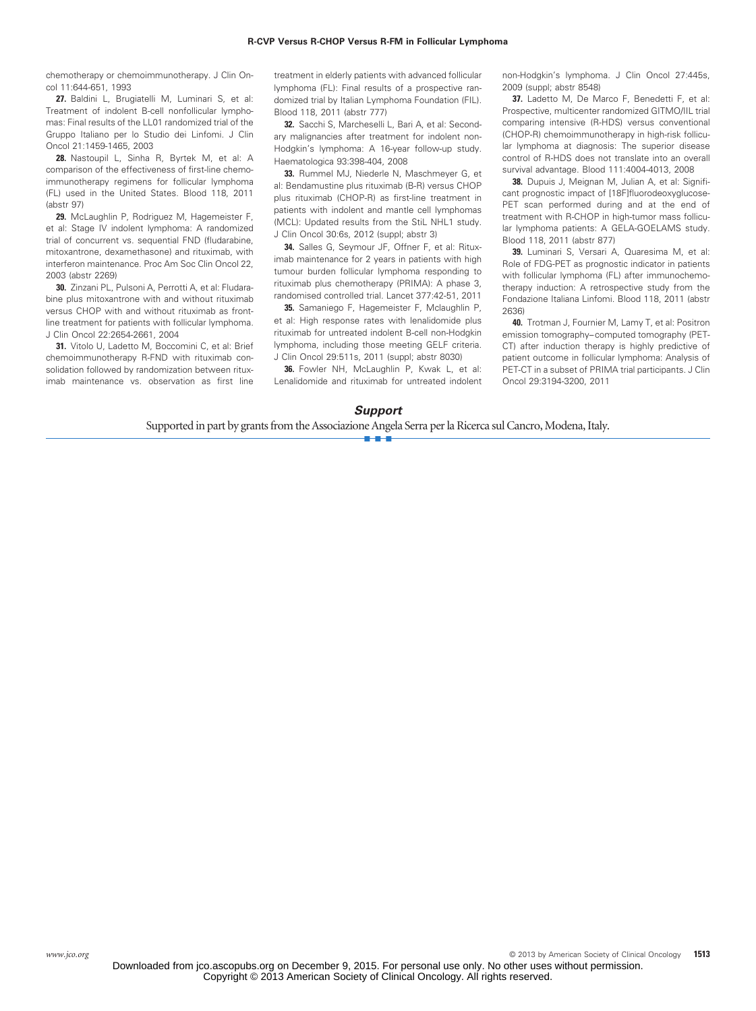#### **R-CVP Versus R-CHOP Versus R-FM in Follicular Lymphoma**

chemotherapy or chemoimmunotherapy. J Clin Oncol 11:644-651, 1993

**27.** Baldini L, Brugiatelli M, Luminari S, et al: Treatment of indolent B-cell nonfollicular lymphomas: Final results of the LL01 randomized trial of the Gruppo Italiano per lo Studio dei Linfomi. J Clin Oncol 21:1459-1465, 2003

**28.** Nastoupil L, Sinha R, Byrtek M, et al: A comparison of the effectiveness of first-line chemoimmunotherapy regimens for follicular lymphoma (FL) used in the United States. Blood 118, 2011 (abstr 97)

**29.** McLaughlin P, Rodriguez M, Hagemeister F, et al: Stage IV indolent lymphoma: A randomized trial of concurrent vs. sequential FND (fludarabine, mitoxantrone, dexamethasone) and rituximab, with interferon maintenance. Proc Am Soc Clin Oncol 22, 2003 (abstr 2269)

**30.** Zinzani PL, Pulsoni A, Perrotti A, et al: Fludarabine plus mitoxantrone with and without rituximab versus CHOP with and without rituximab as frontline treatment for patients with follicular lymphoma. J Clin Oncol 22:2654-2661, 2004

**31.** Vitolo U, Ladetto M, Boccomini C, et al: Brief chemoimmunotherapy R-FND with rituximab consolidation followed by randomization between rituximab maintenance vs. observation as first line

treatment in elderly patients with advanced follicular lymphoma (FL): Final results of a prospective randomized trial by Italian Lymphoma Foundation (FIL). Blood 118, 2011 (abstr 777)

**32.** Sacchi S, Marcheselli L, Bari A, et al: Secondary malignancies after treatment for indolent non-Hodgkin's lymphoma: A 16-year follow-up study. Haematologica 93:398-404, 2008

**33.** Rummel MJ, Niederle N, Maschmeyer G, et al: Bendamustine plus rituximab (B-R) versus CHOP plus rituximab (CHOP-R) as first-line treatment in patients with indolent and mantle cell lymphomas (MCL): Updated results from the StiL NHL1 study. J Clin Oncol 30:6s, 2012 (suppl; abstr 3)

**34.** Salles G, Seymour JF, Offner F, et al: Rituximab maintenance for 2 years in patients with high tumour burden follicular lymphoma responding to rituximab plus chemotherapy (PRIMA): A phase 3, randomised controlled trial. Lancet 377:42-51, 2011

**35.** Samaniego F, Hagemeister F, Mclaughlin P, et al: High response rates with lenalidomide plus rituximab for untreated indolent B-cell non-Hodgkin lymphoma, including those meeting GELF criteria. J Clin Oncol 29:511s, 2011 (suppl; abstr 8030)

**36.** Fowler NH, McLaughlin P, Kwak L, et al: Lenalidomide and rituximab for untreated indolent

non-Hodgkin's lymphoma. J Clin Oncol 27:445s, 2009 (suppl; abstr 8548)

**37.** Ladetto M, De Marco F, Benedetti F, et al: Prospective, multicenter randomized GITMO/IIL trial comparing intensive (R-HDS) versus conventional (CHOP-R) chemoimmunotherapy in high-risk follicular lymphoma at diagnosis: The superior disease control of R-HDS does not translate into an overall survival advantage. Blood 111:4004-4013, 2008

**38.** Dupuis J, Meignan M, Julian A, et al: Significant prognostic impact of [18F]fluorodeoxyglucose-PET scan performed during and at the end of treatment with R-CHOP in high-tumor mass follicular lymphoma patients: A GELA-GOELAMS study. Blood 118, 2011 (abstr 877)

**39.** Luminari S, Versari A, Quaresima M, et al: Role of FDG-PET as prognostic indicator in patients with follicular lymphoma (FL) after immunochemotherapy induction: A retrospective study from the Fondazione Italiana Linfomi. Blood 118, 2011 (abstr 2636)

**40.** Trotman J, Fournier M, Lamy T, et al: Positron emission tomography– computed tomography (PET-CT) after induction therapy is highly predictive of patient outcome in follicular lymphoma: Analysis of PET-CT in a subset of PRIMA trial participants. J Clin Oncol 29:3194-3200, 2011

#### *Support*

Supported in part by grants from the Associazione Angela Serra per la Ricerca sul Cancro, Modena, Italy. ■■■